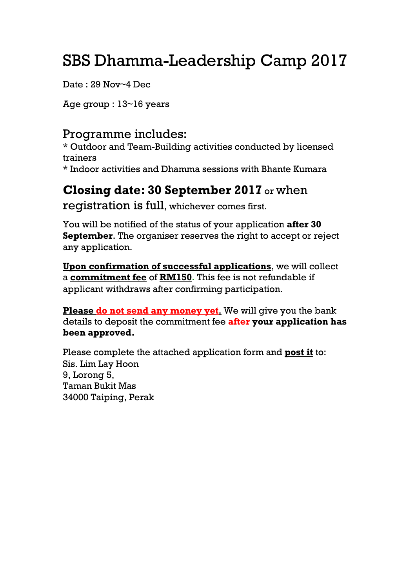## SBS Dhamma-Leadership Camp 2017

Date : 29 Nov~4 Dec

Age group : 13~16 years

## Programme includes:

\* Outdoor and Team-Building activities conducted by licensed trainers

\* Indoor activities and Dhamma sessions with Bhante Kumara

## **Closing date: 30 September 2017** or when

registration is full, whichever comes first.

You will be notified of the status of your application **after 30 September**. The organiser reserves the right to accept or reject any application.

**Upon confirmation of successful applications**, we will collect a **commitment fee** of **RM150**. This fee is not refundable if applicant withdraws after confirming participation.

**Please do not send any money yet**. We will give you the bank details to deposit the commitment fee **after your application has been approved.**

Please complete the attached application form and **post it** to: Sis. Lim Lay Hoon 9, Lorong 5, Taman Bukit Mas 34000 Taiping, Perak